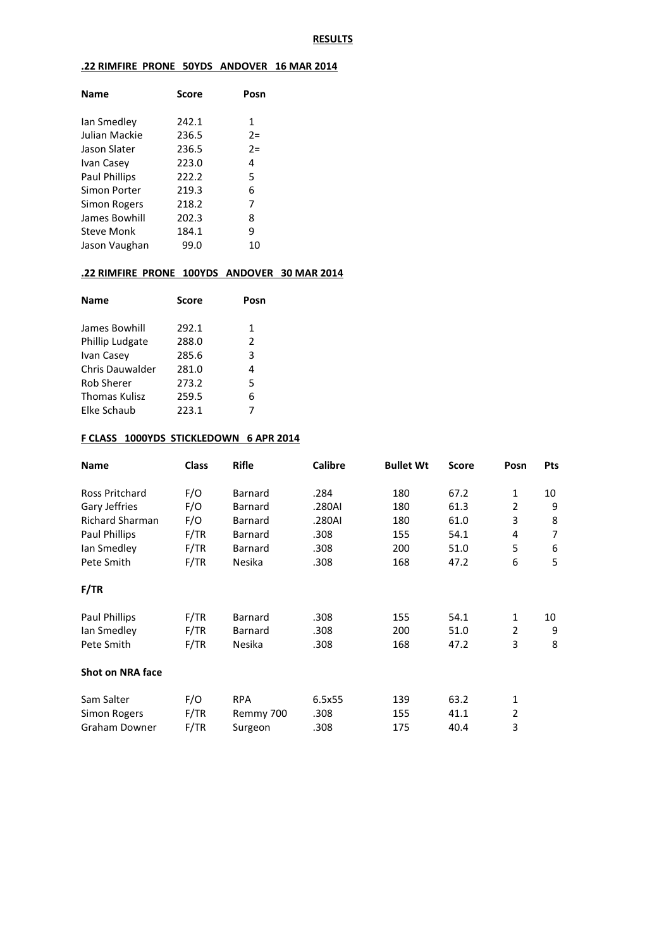#### **RESULTS**

# **.22 RIMFIRE PRONE 50YDS ANDOVER 16 MAR 2014**

| <b>Name</b>          | Score | Posn  |
|----------------------|-------|-------|
| lan Smedley          | 242.1 | 1     |
| Julian Mackie        | 236.5 | $2 =$ |
| Jason Slater         | 236.5 | $2=$  |
| Ivan Casey           | 223.0 | 4     |
| <b>Paul Phillips</b> | 222.2 | 5     |
| Simon Porter         | 219.3 | 6     |
| Simon Rogers         | 218.2 | 7     |
| James Bowhill        | 202.3 | 8     |
| Steve Monk           | 184.1 | 9     |
| Jason Vaughan        | 99.0  | 10    |
|                      |       |       |

# **.22 RIMFIRE PRONE 100YDS ANDOVER 30 MAR 2014**

| <b>Name</b>       | <b>Score</b> | Posn          |  |
|-------------------|--------------|---------------|--|
| James Bowhill     | 292.1        | 1             |  |
| Phillip Ludgate   | 288.0        | $\mathcal{P}$ |  |
| Ivan Casey        | 285.6        | 3             |  |
| Chris Dauwalder   | 281.0        | 4             |  |
| <b>Rob Sherer</b> | 273.2        | 5             |  |
| Thomas Kulisz     | 259.5        | 6             |  |
| Elke Schaub       | 223.1        | 7             |  |

### **F CLASS 1000YDS STICKLEDOWN 6 APR 2014**

| Name                    | <b>Class</b> | <b>Rifle</b> | <b>Calibre</b> | <b>Bullet Wt</b> | <b>Score</b> | Posn           | Pts |
|-------------------------|--------------|--------------|----------------|------------------|--------------|----------------|-----|
| Ross Pritchard          | F/O          | Barnard      | .284           | 180              | 67.2         | 1              | 10  |
| Gary Jeffries           | F/O          | Barnard      | .280AI         | 180              | 61.3         | 2              | 9   |
| <b>Richard Sharman</b>  | F/O          | Barnard      | .280AI         | 180              | 61.0         | 3              | 8   |
| Paul Phillips           | F/TR         | Barnard      | .308           | 155              | 54.1         | 4              | 7   |
| lan Smedley             | F/TR         | Barnard      | .308           | 200              | 51.0         | 5              | 6   |
| Pete Smith              | F/TR         | Nesika       | .308           | 168              | 47.2         | 6              | 5   |
| F/TR                    |              |              |                |                  |              |                |     |
| Paul Phillips           | F/TR         | Barnard      | .308           | 155              | 54.1         | 1              | 10  |
| lan Smedley             | F/TR         | Barnard      | .308           | 200              | 51.0         | $\overline{2}$ | 9   |
| Pete Smith              | F/TR         | Nesika       | .308           | 168              | 47.2         | 3              | 8   |
| <b>Shot on NRA face</b> |              |              |                |                  |              |                |     |
| Sam Salter              | F/O          | <b>RPA</b>   | 6.5x55         | 139              | 63.2         | 1              |     |
| Simon Rogers            | F/TR         | Remmy 700    | .308           | 155              | 41.1         | 2              |     |
| <b>Graham Downer</b>    | F/TR         | Surgeon      | .308           | 175              | 40.4         | 3              |     |